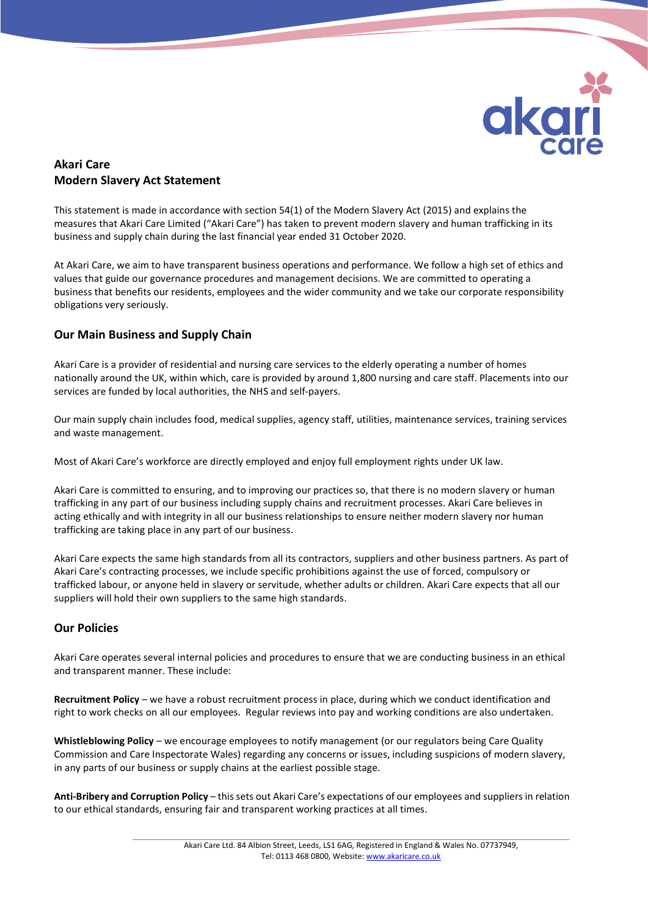

# Akari Care Modern Slavery Act Statement

This statement is made in accordance with section 54(1) of the Modern Slavery Act (2015) and explains the measures that Akari Care Limited ("Akari Care") has taken to prevent modern slavery and human trafficking in its business and supply chain during the last financial year ended 31 October 2020.

At Akari Care, we aim to have transparent business operations and performance. We follow a high set of ethics and values that guide our governance procedures and management decisions. We are committed to operating a business that benefits our residents, employees and the wider community and we take our corporate responsibility obligations very seriously.

## Our Main Business and Supply Chain

Akari Care is a provider of residential and nursing care services to the elderly operating a number of homes nationally around the UK, within which, care is provided by around 1,800 nursing and care staff. Placements into our services are funded by local authorities, the NHS and self-payers.

Our main supply chain includes food, medical supplies, agency staff, utilities, maintenance services, training services and waste management.

Most of Akari Care's workforce are directly employed and enjoy full employment rights under UK law.

Akari Care is committed to ensuring, and to improving our practices so, that there is no modern slavery or human trafficking in any part of our business including supply chains and recruitment processes. Akari Care believes in acting ethically and with integrity in all our business relationships to ensure neither modern slavery nor human trafficking are taking place in any part of our business.

Akari Care expects the same high standards from all its contractors, suppliers and other business partners. As part of Akari Care's contracting processes, we include specific prohibitions against the use of forced, compulsory or trafficked labour, or anyone held in slavery or servitude, whether adults or children. Akari Care expects that all our suppliers will hold their own suppliers to the same high standards.

## Our Policies

Akari Care operates several internal policies and procedures to ensure that we are conducting business in an ethical and transparent manner. These include:

Recruitment Policy – we have a robust recruitment process in place, during which we conduct identification and right to work checks on all our employees. Regular reviews into pay and working conditions are also undertaken.

Whistleblowing Policy – we encourage employees to notify management (or our regulators being Care Quality Commission and Care Inspectorate Wales) regarding any concerns or issues, including suspicions of modern slavery, in any parts of our business or supply chains at the earliest possible stage.

Anti-Bribery and Corruption Policy – this sets out Akari Care's expectations of our employees and suppliers in relation to our ethical standards, ensuring fair and transparent working practices at all times.